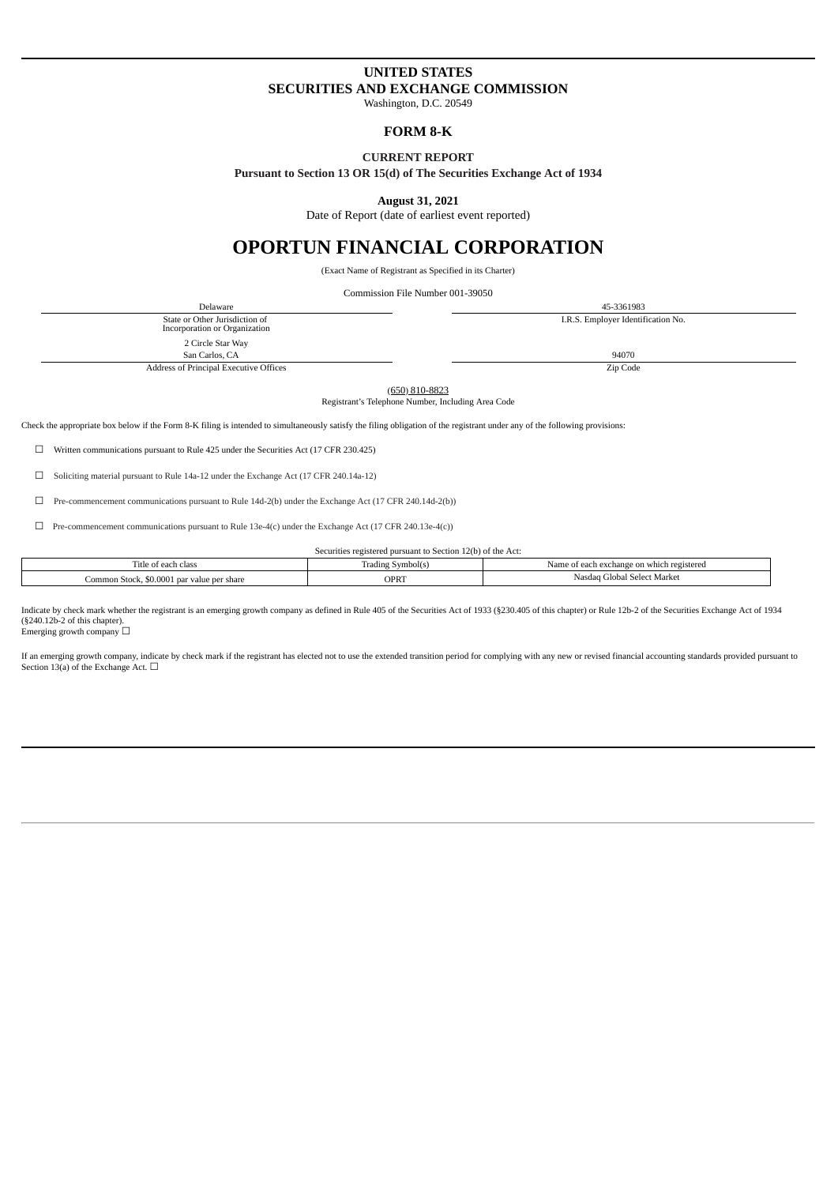# **UNITED STATES SECURITIES AND EXCHANGE COMMISSION**

Washington, D.C. 20549

## **FORM 8-K**

## **CURRENT REPORT**

**Pursuant to Section 13 OR 15(d) of The Securities Exchange Act of 1934**

**August 31, 2021**

Date of Report (date of earliest event reported)

# **OPORTUN FINANCIAL CORPORATION**

(Exact Name of Registrant as Specified in its Charter)

Commission File Number 001-39050

Delaware 45-3361983 State or Other Jurisdiction of Incorporation or Organization I.R.S. Employer Identification No. 2 Circle Star Way San Carlos, CA 94070 Address of Principal Executive Offices **Executive Offices Zip Code** 

(650) 810-8823

Registrant's Telephone Number, Including Area Code

Check the appropriate box below if the Form 8-K filing is intended to simultaneously satisfy the filing obligation of the registrant under any of the following provisions:

☐ Written communications pursuant to Rule 425 under the Securities Act (17 CFR 230.425)

☐ Soliciting material pursuant to Rule 14a-12 under the Exchange Act (17 CFR 240.14a-12)

☐ Pre-commencement communications pursuant to Rule 14d-2(b) under the Exchange Act (17 CFR 240.14d-2(b))

 $\Box$  Pre-commencement communications pursuant to Rule 13e-4(c) under the Exchange Act (17 CFR 240.13e-4(c))

Securities registered pursuant to Section 12(b) of the Act:

| Symbol(s)<br>radins | Name of each exchange on which<br>registered |
|---------------------|----------------------------------------------|
| <b>OPRT</b>         | Select Market<br>filoba.<br>Nasu.            |
|                     |                                              |

Indicate by check mark whether the registrant is an emerging growth company as defined in Rule 405 of the Securities Act of 1933 (§230.405 of this chapter) or Rule 12b-2 of the Securities Exchange Act of 1934 (§240.12b-2 of this chapter). Emerging growth company  $\square$ 

If an emerging growth company, indicate by check mark if the registrant has elected not to use the extended transition period for complying with any new or revised financial accounting standards provided pursuant to Section 13(a) of the Exchange Act.  $□$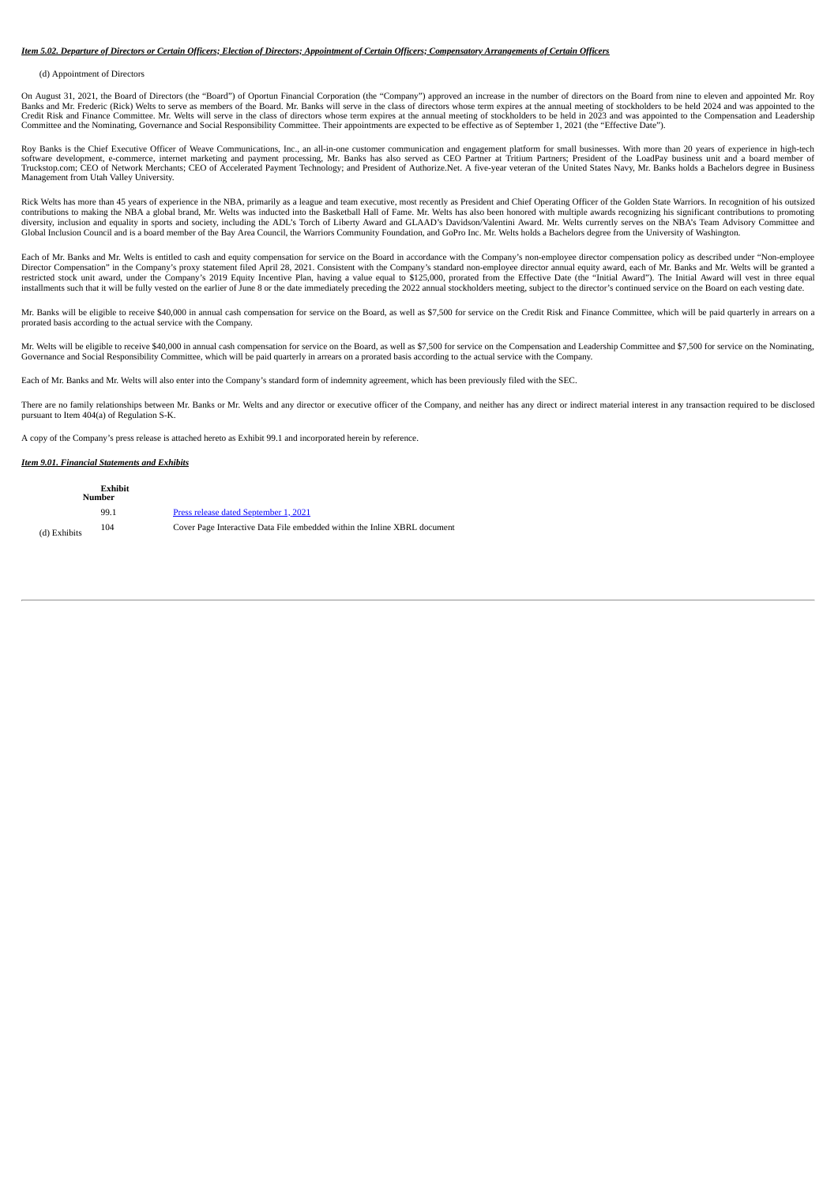### *Item 5.02. Departure of Directors or Certain Officers; Election of Directors; Appointment of Certain Officers; Compensatory Arrangements of Certain Officers*

#### (d) Appointment of Directors

On August 31, 2021, the Board of Directors (the "Board") of Oportun Financial Corporation (the "Company") approved an increase in the number of directors on the Board from nine to eleven and appointed Mr. Roy Banks and Mr. Frederic (Rick) Welts to serve as members of the Board. Mr. Banks will serve in the class of directors whose term expires at the annual meeting of stockholders to be held 2024 and was appointed to the Compens Committee and the Nominating, Governance and Social Responsibility Committee. Their appointments are expected to be effective as of September 1, 2021 (the "Effective Date").

Roy Banks is the Chief Executive Officer of Weave Communications, Inc., an all-in-one customer communication and engagement platform for small businesses. With more than 20 years of experience in high-tech<br>software develop Management from Utah Valley University.

Rick Welts has more than 45 years of experience in the NBA, primarily as a league and team executive, most recently as President and Chief Operating Officer of the Golden State Warriors. In recognition of his outsized contributions to making the NBA a global brand, Mr. Welts was inducted into the Basketball Hall of Fame. Mr. Welts has also been honored with multiple awards recognizing his significant contributions to promoting diversity, inclusion and equality in sports and society, including the ADL's Torch of Liberty Award and GLAAD's Davidson/Valentini Award. Mr. Welts currently serves on the NBA's Team Advisory Committee and Global Inclusion Council and is a board member of the Bay Area Council, the Warriors Community Foundation, and GoPro Inc. Mr. Welts holds a Bachelors degree from the University of Washington.

Each of Mr. Banks and Mr. Welts is entitled to cash and equity compensation for service on the Board in accordance with the Company's non-employee director compensation policy as described under "Non-employee Director Compensation" in the Company's proxy statement filed April 28, 2021. Consistent with the Company's standard non-employee director annual equity award, each of Mr. Banks and Mr. Welts will be granted a<br>restricted s installments such that it will be fully vested on the earlier of June 8 or the date immediately preceding the 2022 annual stockholders meeting, subject to the director's continued service on the Board on each vesting date.

Mr. Banks will be eligible to receive \$40,000 in annual cash compensation for service on the Board, as well as \$7,500 for service on the Credit Risk and Finance Committee, which will be paid quarterly in arrears on a prorated basis according to the actual service with the Company.

Mr. Welts will be eligible to receive \$40,000 in annual cash compensation for service on the Board, as well as \$7,500 for service on the Compensation and Leadership Committee and \$7,500 for service on the Nominating, Governance and Social Responsibility Committee, which will be paid quarterly in arrears on a prorated basis according to the actual service with the Company.

Each of Mr. Banks and Mr. Welts will also enter into the Company's standard form of indemnity agreement, which has been previously filed with the SEC.

There are no family relationships between Mr. Banks or Mr. Welts and any director or executive officer of the Company, and neither has any direct or indirect material interest in any transaction required to be disclosed pursuant to Item 404(a) of Regulation S-K.

A copy of the Company's press release is attached hereto as Exhibit 99.1 and incorporated herein by reference.

#### *Item 9.01. Financial Statements and Exhibits*

(d) Exhibits **Exhibit Number** 99.1 [Press release dated September 1, 2021](#page-3-0) 104 Cover Page Interactive Data File embedded within the Inline XBRL document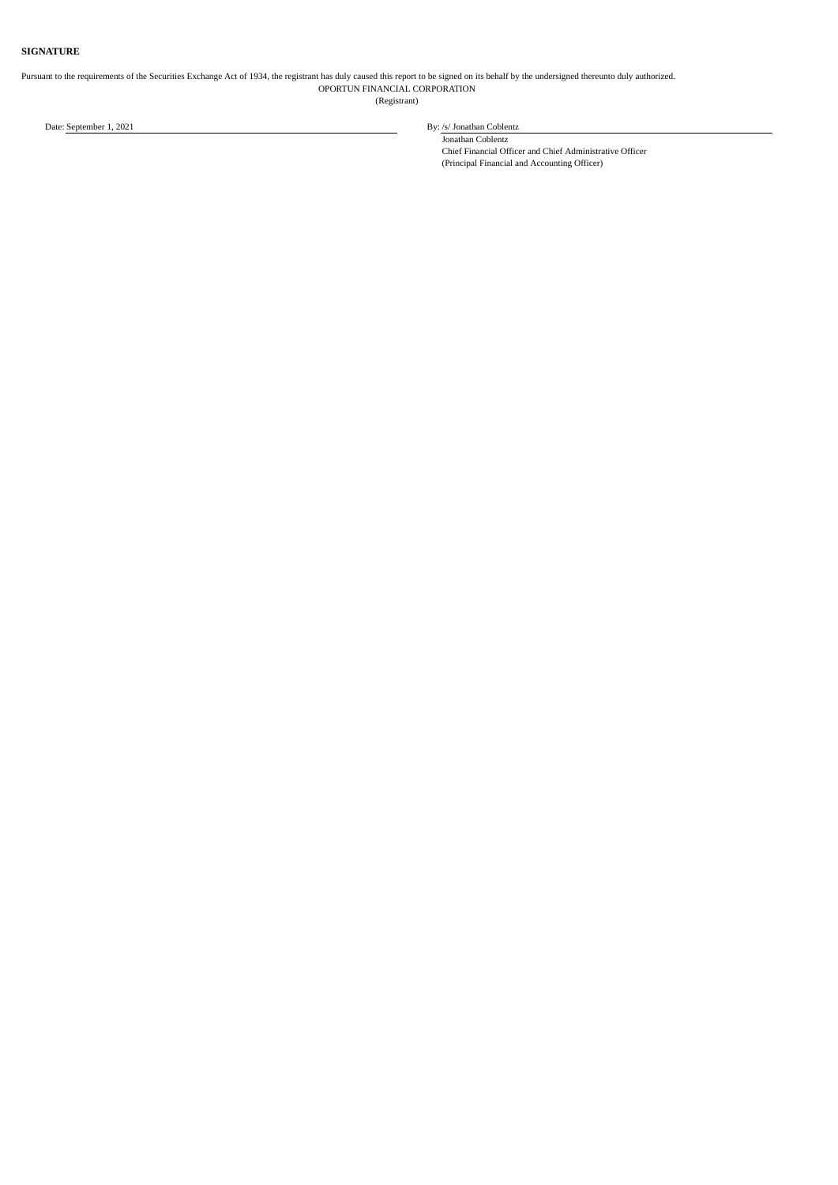## **SIGNATURE**

#### Pursuant to the requirements of the Securities Exchange Act of 1934, the registrant has duly caused this report to be signed on its behalf by the undersigned thereunto duly authorized. OPORTUN FINANCIAL CORPORATION (Registrant)

Date: September 1, 2021 **By:** /s/ Jonathan Coblentz

Jonathan Coblentz Chief Financial Officer and Chief Administrative Officer (Principal Financial and Accounting Officer)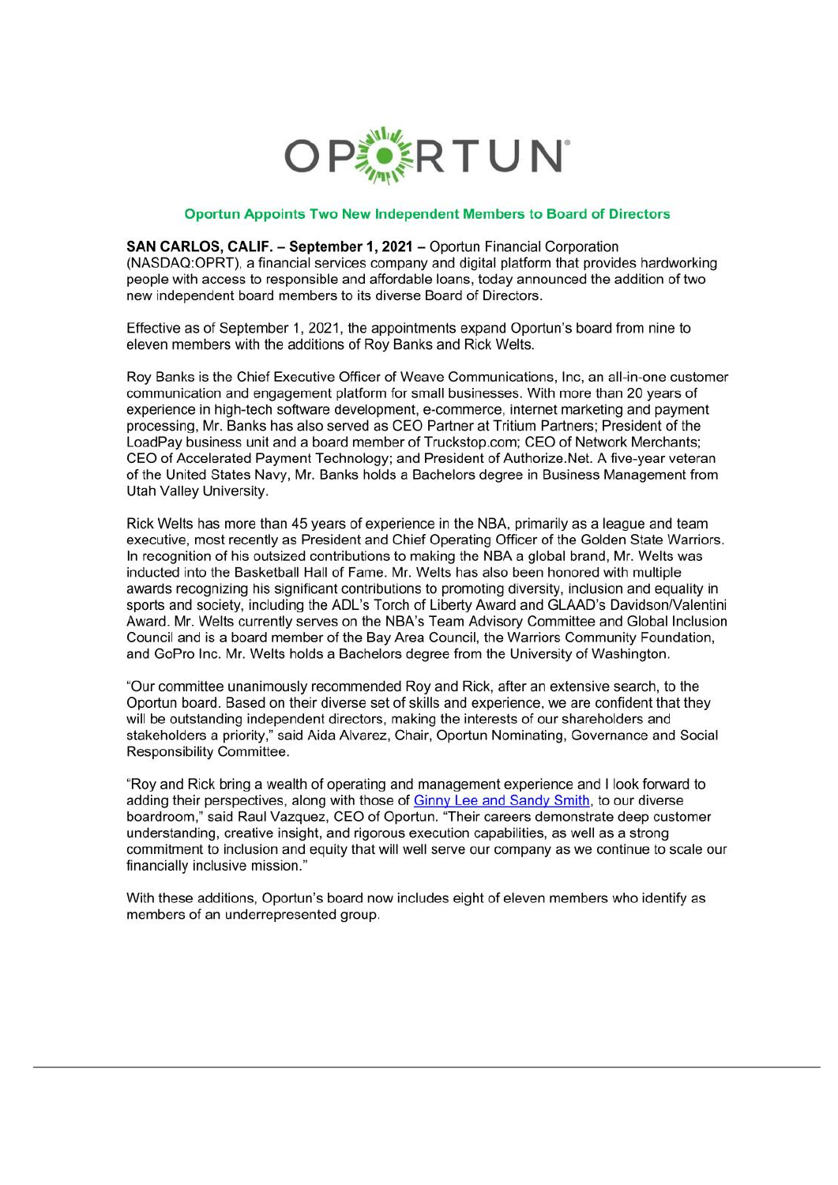

## Oportun Appoints Two New Independent Members to Board of Directors

<span id="page-3-0"></span>SAN CARLOS, CALIF. - September 1, 2021 - Oportun Financial Corporation (NASDAQ:OPRT), a financial services company and digital platform that provides hardworking people with access to responsible and affordable loans, today announced the addition of two new independent board members to its diverse Board of Directors.

Effective as of September 1, 2021, the appointments expand Oportun's board from nine to eleven members with the additions of Roy Banks and Rick Welts.

Roy Banks is the Chief Executive Officer of Weave Communications. Inc. an all-in-one customer communication and engagement platform for small businesses. With more than 20 years of experience in high-tech software development, e-commerce, internet marketing and payment processing. Mr. Banks has also served as CEO Partner at Tritium Partners: President of the LoadPay business unit and a board member of Truckstop.com; CEO of Network Merchants; CEO of Accelerated Payment Technology: and President of Authorize. Net. A five-year veteran of the United States Navy. Mr. Banks holds a Bachelors degree in Business Management from Utah Valley University.

Rick Welts has more than 45 years of experience in the NBA, primarily as a league and team executive, most recently as President and Chief Operating Officer of the Golden State Warriors. In recognition of his outsized contributions to making the NBA a global brand, Mr. Welts was inducted into the Basketball Hall of Fame. Mr. Welts has also been honored with multiple awards recognizing his significant contributions to promoting diversity, inclusion and equality in sports and society, including the ADL's Torch of Liberty Award and GLAAD's Davidson/Valentini Award. Mr. Welts currently serves on the NBA's Team Advisory Committee and Global Inclusion Council and is a board member of the Bay Area Council, the Warriors Community Foundation. and GoPro Inc. Mr. Welts holds a Bachelors degree from the University of Washington.

"Our committee unanimously recommended Roy and Rick, after an extensive search, to the Oportun board. Based on their diverse set of skills and experience, we are confident that they will be outstanding independent directors, making the interests of our shareholders and stakeholders a priority," said Aida Alvarez, Chair, Oportun Nominating, Governance and Social Responsibility Committee.

"Roy and Rick bring a wealth of operating and management experience and I look forward to adding their perspectives, along with those of Ginny Lee and Sandy Smith, to our diverse boardroom." said Raul Vazquez, CEO of Oportun. "Their careers demonstrate deep customer understanding, creative insight, and rigorous execution capabilities, as well as a strong commitment to inclusion and equity that will well serve our company as we continue to scale our financially inclusive mission."

With these additions, Oportun's board now includes eight of eleven members who identify as members of an underrepresented group.